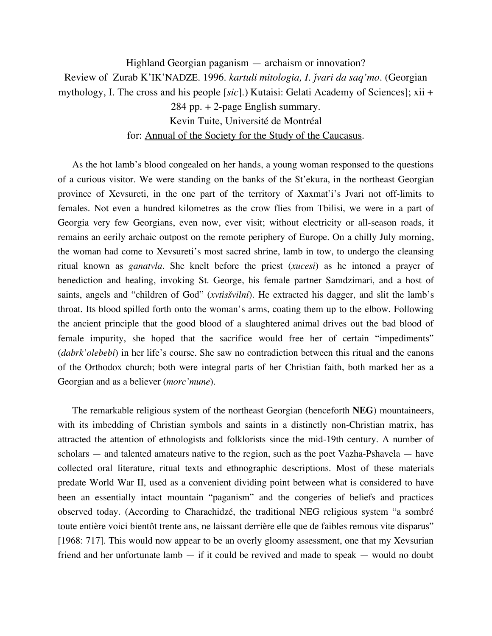Highland Georgian paganism — archaism or innovation? Review of Zurab K'IK'NADZE. 1996. *kartuli mitologia, I. ∆vari da saq'mo.* (Georgian mythology, I. The cross and his people [*sic*].) Kutaisi: Gelati Academy of Sciences]; xii + 284 pp. + 2-page English summary. Kevin Tuite, Université de Montréal for: Annual of the Society for the Study of the Caucasus.

As the hot lamb's blood congealed on her hands, a young woman responsed to the questions of a curious visitor. We were standing on the banks of the St'ekura, in the northeast Georgian province of Xevsureti, in the one part of the territory of Xaxmat'i's Jvari not off-limits to females. Not even a hundred kilometres as the crow flies from Tbilisi, we were in a part of Georgia very few Georgians, even now, ever visit; without electricity or all-season roads, it remains an eerily archaic outpost on the remote periphery of Europe. On a chilly July morning, the woman had come to Xevsureti's most sacred shrine, lamb in tow, to undergo the cleansing ritual known as *ganatvla.* She knelt before the priest (*xucesi*) as he intoned a prayer of benediction and healing, invoking St. George, his female partner Samdzimari, and a host of saints, angels and "children of God" (*xvtisšvilni*). He extracted his dagger, and slit the lamb's throat. Its blood spilled forth onto the woman's arms, coating them up to the elbow. Following the ancient principle that the good blood of a slaughtered animal drives out the bad blood of female impurity, she hoped that the sacrifice would free her of certain "impediments" (*dabrk'olebebi*) in her life's course. She saw no contradiction between this ritual and the canons of the Orthodox church; both were integral parts of her Christian faith, both marked her as a Georgian and as a believer (*morc'mune*).

The remarkable religious system of the northeast Georgian (henceforth **NEG**) mountaineers, with its imbedding of Christian symbols and saints in a distinctly non-Christian matrix, has attracted the attention of ethnologists and folklorists since the mid-19th century. A number of scholars — and talented amateurs native to the region, such as the poet Vazha-Pshavela — have collected oral literature, ritual texts and ethnographic descriptions. Most of these materials predate World War II, used as a convenient dividing point between what is considered to have been an essentially intact mountain "paganism" and the congeries of beliefs and practices observed today. (According to Charachidzé, the traditional NEG religious system "a sombré toute entière voici bientôt trente ans, ne laissant derrière elle que de faibles remous vite disparus" [1968: 717]. This would now appear to be an overly gloomy assessment, one that my Xevsurian friend and her unfortunate lamb — if it could be revived and made to speak — would no doubt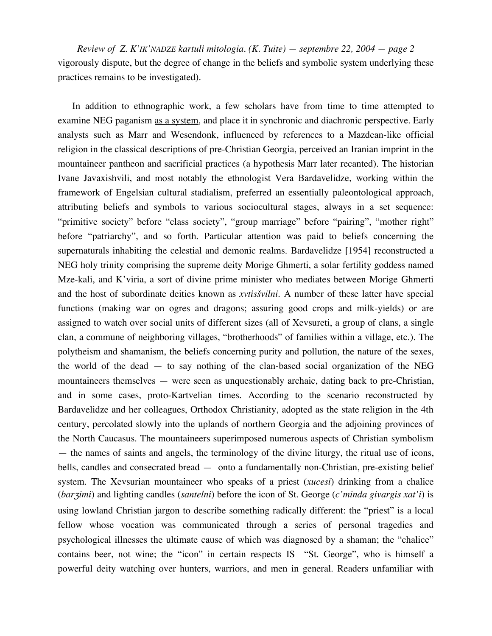*Review of Z. K'IK'NADZE kartuli mitologia. (K. Tuite) — septembre 22, 2004 — page 2* vigorously dispute, but the degree of change in the beliefs and symbolic system underlying these practices remains to be investigated).

In addition to ethnographic work, a few scholars have from time to time attempted to examine NEG paganism as a system, and place it in synchronic and diachronic perspective. Early analysts such as Marr and Wesendonk, influenced by references to a Mazdean-like official religion in the classical descriptions of pre-Christian Georgia, perceived an Iranian imprint in the mountaineer pantheon and sacrificial practices (a hypothesis Marr later recanted). The historian Ivane Javaxishvili, and most notably the ethnologist Vera Bardavelidze, working within the framework of Engelsian cultural stadialism, preferred an essentially paleontological approach, attributing beliefs and symbols to various sociocultural stages, always in a set sequence: "primitive society" before "class society", "group marriage" before "pairing", "mother right" before "patriarchy", and so forth. Particular attention was paid to beliefs concerning the supernaturals inhabiting the celestial and demonic realms. Bardavelidze [1954] reconstructed a NEG holy trinity comprising the supreme deity Morige Ghmerti, a solar fertility goddess named Mze-kali, and K'viria, a sort of divine prime minister who mediates between Morige Ghmerti and the host of subordinate deities known as *xvtisšvilni*. A number of these latter have special functions (making war on ogres and dragons; assuring good crops and milk-yields) or are assigned to watch over social units of different sizes (all of Xevsureti, a group of clans, a single clan, a commune of neighboring villages, "brotherhoods" of families within a village, etc.). The polytheism and shamanism, the beliefs concerning purity and pollution, the nature of the sexes, the world of the dead — to say nothing of the clan-based social organization of the NEG mountaineers themselves — were seen as unquestionably archaic, dating back to pre-Christian, and in some cases, proto-Kartvelian times. According to the scenario reconstructed by Bardavelidze and her colleagues, Orthodox Christianity, adopted as the state religion in the 4th century, percolated slowly into the uplands of northern Georgia and the adjoining provinces of the North Caucasus. The mountaineers superimposed numerous aspects of Christian symbolism — the names of saints and angels, the terminology of the divine liturgy, the ritual use of icons, bells, candles and consecrated bread — onto a fundamentally non-Christian, pre-existing belief system. The Xevsurian mountaineer who speaks of a priest (*xucesi*) drinking from a chalice (*barzimi*) and lighting candles (*santelni*) before the icon of St. George (*c*'minda givargis xat'i) is using lowland Christian jargon to describe something radically different: the "priest" is a local fellow whose vocation was communicated through a series of personal tragedies and psychological illnesses the ultimate cause of which was diagnosed by a shaman; the "chalice" contains beer, not wine; the "icon" in certain respects IS "St. George", who is himself a powerful deity watching over hunters, warriors, and men in general. Readers unfamiliar with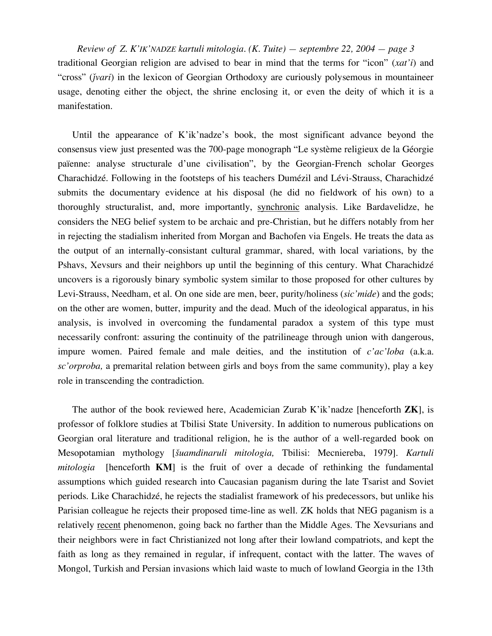*Review of Z. K'IK'NADZE kartuli mitologia. (K. Tuite) — septembre 22, 2004 — page 3* traditional Georgian religion are advised to bear in mind that the terms for "icon" (*xat'i*) and "cross" (*∆vari*) in the lexicon of Georgian Orthodoxy are curiously polysemous in mountaineer usage, denoting either the object, the shrine enclosing it, or even the deity of which it is a manifestation.

Until the appearance of K'ik'nadze's book, the most significant advance beyond the consensus view just presented was the 700-page monograph "Le système religieux de la Géorgie païenne: analyse structurale d'une civilisation", by the Georgian-French scholar Georges Charachidzé. Following in the footsteps of his teachers Dumézil and Lévi-Strauss, Charachidzé submits the documentary evidence at his disposal (he did no fieldwork of his own) to a thoroughly structuralist, and, more importantly, synchronic analysis. Like Bardavelidze, he considers the NEG belief system to be archaic and pre-Christian, but he differs notably from her in rejecting the stadialism inherited from Morgan and Bachofen via Engels. He treats the data as the output of an internally-consistant cultural grammar, shared, with local variations, by the Pshavs, Xevsurs and their neighbors up until the beginning of this century. What Charachidzé uncovers is a rigorously binary symbolic system similar to those proposed for other cultures by Levi-Strauss, Needham, et al. On one side are men, beer, purity/holiness (*sic'mide*) and the gods; on the other are women, butter, impurity and the dead. Much of the ideological apparatus, in his analysis, is involved in overcoming the fundamental paradox a system of this type must necessarily confront: assuring the continuity of the patrilineage through union with dangerous, impure women. Paired female and male deities, and the institution of *c'ac'loba* (a.k.a. *sc'orproba,* a premarital relation between girls and boys from the same community), play a key role in transcending the contradiction.

The author of the book reviewed here, Academician Zurab K'ik'nadze [henceforth **ZK**], is professor of folklore studies at Tbilisi State University. In addition to numerous publications on Georgian oral literature and traditional religion, he is the author of a well-regarded book on Mesopotamian mythology [*£uamdinaruli mitologia,* Tbilisi: Mecniereba, 1979]. *Kartuli mitologia* [henceforth **KM**] is the fruit of over a decade of rethinking the fundamental assumptions which guided research into Caucasian paganism during the late Tsarist and Soviet periods. Like Charachidzé, he rejects the stadialist framework of his predecessors, but unlike his Parisian colleague he rejects their proposed time-line as well. ZK holds that NEG paganism is a relatively recent phenomenon, going back no farther than the Middle Ages. The Xevsurians and their neighbors were in fact Christianized not long after their lowland compatriots, and kept the faith as long as they remained in regular, if infrequent, contact with the latter. The waves of Mongol, Turkish and Persian invasions which laid waste to much of lowland Georgia in the 13th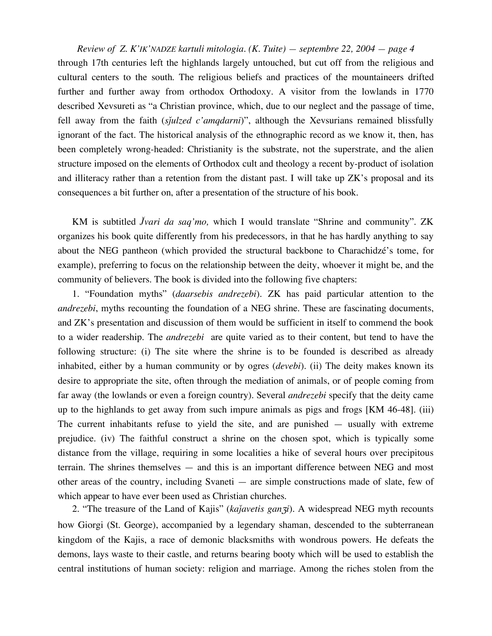*Review of Z. K'IK'NADZE kartuli mitologia. (K. Tuite) — septembre 22, 2004 — page 4* through 17th centuries left the highlands largely untouched, but cut off from the religious and cultural centers to the south. The religious beliefs and practices of the mountaineers drifted further and further away from orthodox Orthodoxy. A visitor from the lowlands in 1770 described Xevsureti as "a Christian province, which, due to our neglect and the passage of time, fell away from the faith (*s∆ulzed c'amqdarni*)", although the Xevsurians remained blissfully ignorant of the fact. The historical analysis of the ethnographic record as we know it, then, has been completely wrong-headed: Christianity is the substrate, not the superstrate, and the alien structure imposed on the elements of Orthodox cult and theology a recent by-product of isolation and illiteracy rather than a retention from the distant past. I will take up ZK's proposal and its consequences a bit further on, after a presentation of the structure of his book.

KM is subtitled *˚vari da saq'mo,* which I would translate "Shrine and community". ZK organizes his book quite differently from his predecessors, in that he has hardly anything to say about the NEG pantheon (which provided the structural backbone to Charachidzé's tome, for example), preferring to focus on the relationship between the deity, whoever it might be, and the community of believers. The book is divided into the following five chapters:

1. "Foundation myths" (*daarsebis andrezebi*). ZK has paid particular attention to the *andrezebi*, myths recounting the foundation of a NEG shrine. These are fascinating documents, and ZK's presentation and discussion of them would be sufficient in itself to commend the book to a wider readership. The *andrezebi* are quite varied as to their content, but tend to have the following structure: (i) The site where the shrine is to be founded is described as already inhabited, either by a human community or by ogres (*devebi*). (ii) The deity makes known its desire to appropriate the site, often through the mediation of animals, or of people coming from far away (the lowlands or even a foreign country). Several *andrezebi* specify that the deity came up to the highlands to get away from such impure animals as pigs and frogs [KM 46-48]. (iii) The current inhabitants refuse to yield the site, and are punished — usually with extreme prejudice. (iv) The faithful construct a shrine on the chosen spot, which is typically some distance from the village, requiring in some localities a hike of several hours over precipitous terrain. The shrines themselves — and this is an important difference between NEG and most other areas of the country, including Svaneti — are simple constructions made of slate, few of which appear to have ever been used as Christian churches.

2. "The treasure of the Land of Kajis" (*kajavetis gan*<sub>7</sub>*i*). A widespread NEG myth recounts how Giorgi (St. George), accompanied by a legendary shaman, descended to the subterranean kingdom of the Kajis, a race of demonic blacksmiths with wondrous powers. He defeats the demons, lays waste to their castle, and returns bearing booty which will be used to establish the central institutions of human society: religion and marriage. Among the riches stolen from the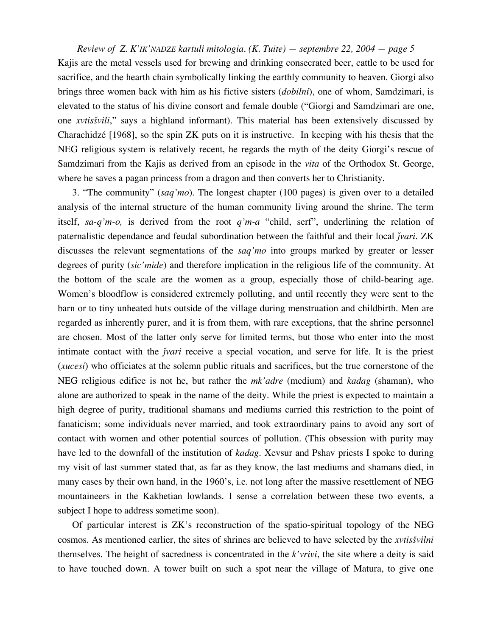*Review of Z. K'IK'NADZE kartuli mitologia. (K. Tuite) — septembre 22, 2004 — page 5* Kajis are the metal vessels used for brewing and drinking consecrated beer, cattle to be used for sacrifice, and the hearth chain symbolically linking the earthly community to heaven. Giorgi also brings three women back with him as his fictive sisters (*dobilni*), one of whom, Samdzimari, is elevated to the status of his divine consort and female double ("Giorgi and Samdzimari are one, one *xvtis£vili*," says a highland informant). This material has been extensively discussed by Charachidzé [1968], so the spin ZK puts on it is instructive. In keeping with his thesis that the NEG religious system is relatively recent, he regards the myth of the deity Giorgi's rescue of Samdzimari from the Kajis as derived from an episode in the *vita* of the Orthodox St. George, where he saves a pagan princess from a dragon and then converts her to Christianity.

3. "The community" (*saq'mo*). The longest chapter (100 pages) is given over to a detailed analysis of the internal structure of the human community living around the shrine. The term itself, *sa-q'm-o,* is derived from the root *q'm-a* "child, serf", underlining the relation of paternalistic dependance and feudal subordination between the faithful and their local *∆vari.* ZK discusses the relevant segmentations of the *saq'mo* into groups marked by greater or lesser degrees of purity (*sic'mide*) and therefore implication in the religious life of the community. At the bottom of the scale are the women as a group, especially those of child-bearing age. Women's bloodflow is considered extremely polluting, and until recently they were sent to the barn or to tiny unheated huts outside of the village during menstruation and childbirth. Men are regarded as inherently purer, and it is from them, with rare exceptions, that the shrine personnel are chosen. Most of the latter only serve for limited terms, but those who enter into the most intimate contact with the *∆vari* receive a special vocation, and serve for life. It is the priest (*xucesi*) who officiates at the solemn public rituals and sacrifices, but the true cornerstone of the NEG religious edifice is not he, but rather the *mk'adre* (medium) and *kadag* (shaman), who alone are authorized to speak in the name of the deity. While the priest is expected to maintain a high degree of purity, traditional shamans and mediums carried this restriction to the point of fanaticism; some individuals never married, and took extraordinary pains to avoid any sort of contact with women and other potential sources of pollution. (This obsession with purity may have led to the downfall of the institution of *kadag.* Xevsur and Pshav priests I spoke to during my visit of last summer stated that, as far as they know, the last mediums and shamans died, in many cases by their own hand, in the 1960's, i.e. not long after the massive resettlement of NEG mountaineers in the Kakhetian lowlands. I sense a correlation between these two events, a subject I hope to address sometime soon).

Of particular interest is ZK's reconstruction of the spatio-spiritual topology of the NEG cosmos. As mentioned earlier, the sites of shrines are believed to have selected by the *xvtis£vilni* themselves. The height of sacredness is concentrated in the *k'vrivi*, the site where a deity is said to have touched down. A tower built on such a spot near the village of Matura, to give one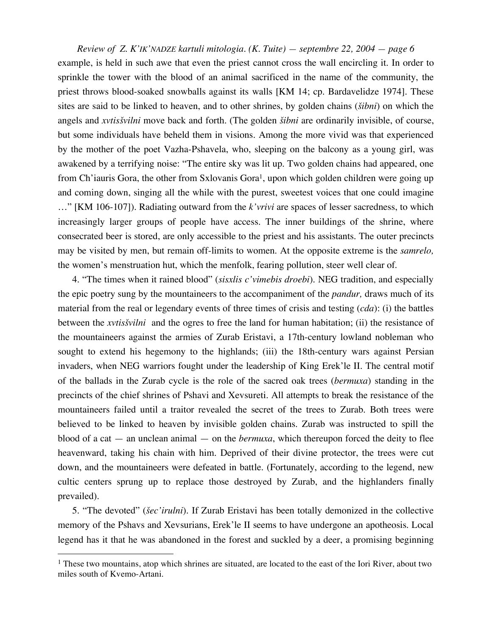*Review of Z. K'IK'NADZE kartuli mitologia. (K. Tuite) — septembre 22, 2004 — page 6* example, is held in such awe that even the priest cannot cross the wall encircling it. In order to sprinkle the tower with the blood of an animal sacrificed in the name of the community, the priest throws blood-soaked snowballs against its walls [KM 14; cp. Bardavelidze 1974]. These sites are said to be linked to heaven, and to other shrines, by golden chains (*£ibni*) on which the angels and *xvtis£vilni* move back and forth. (The golden *£ibni* are ordinarily invisible, of course, but some individuals have beheld them in visions. Among the more vivid was that experienced by the mother of the poet Vazha-Pshavela, who, sleeping on the balcony as a young girl, was awakened by a terrifying noise: "The entire sky was lit up. Two golden chains had appeared, one from Ch'iauris Gora, the other from Sxlovanis Gora<sup>1</sup>, upon which golden children were going up and coming down, singing all the while with the purest, sweetest voices that one could imagine …" [KM 106-107]). Radiating outward from the *k'vrivi* are spaces of lesser sacredness, to which increasingly larger groups of people have access. The inner buildings of the shrine, where consecrated beer is stored, are only accessible to the priest and his assistants. The outer precincts may be visited by men, but remain off-limits to women. At the opposite extreme is the *samrelo,* the women's menstruation hut, which the menfolk, fearing pollution, steer well clear of.

4. "The times when it rained blood" (*sisxlis c'vimebis droebi*). NEG tradition, and especially the epic poetry sung by the mountaineers to the accompaniment of the *pandur,* draws much of its material from the real or legendary events of three times of crisis and testing (*cda*): (i) the battles between the *xvtiss*<sup>*vilni*</sup> and the ogres to free the land for human habitation; (ii) the resistance of the mountaineers against the armies of Zurab Eristavi, a 17th-century lowland nobleman who sought to extend his hegemony to the highlands; (iii) the 18th-century wars against Persian invaders, when NEG warriors fought under the leadership of King Erek'le II. The central motif of the ballads in the Zurab cycle is the role of the sacred oak trees (*bermuxa*) standing in the precincts of the chief shrines of Pshavi and Xevsureti. All attempts to break the resistance of the mountaineers failed until a traitor revealed the secret of the trees to Zurab. Both trees were believed to be linked to heaven by invisible golden chains. Zurab was instructed to spill the blood of a cat — an unclean animal — on the *bermuxa*, which thereupon forced the deity to flee heavenward, taking his chain with him. Deprived of their divine protector, the trees were cut down, and the mountaineers were defeated in battle. (Fortunately, according to the legend, new cultic centers sprung up to replace those destroyed by Zurab, and the highlanders finally prevailed).

5. "The devoted" (*£ec'irulni*). If Zurab Eristavi has been totally demonized in the collective memory of the Pshavs and Xevsurians, Erek'le II seems to have undergone an apotheosis. Local legend has it that he was abandoned in the forest and suckled by a deer, a promising beginning

 <sup>1</sup> These two mountains, atop which shrines are situated, are located to the east of the Iori River, about two miles south of Kvemo-Artani.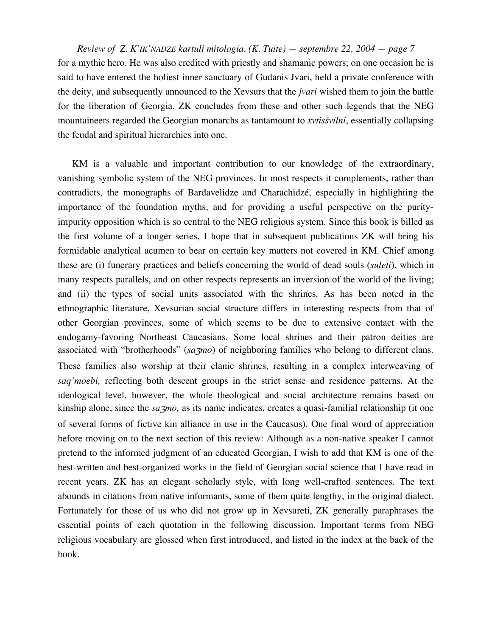*Review of Z. K'IK'NADZE kartuli mitologia. (K. Tuite) — septembre 22, 2004 — page 7* for a mythic hero. He was also credited with priestly and shamanic powers; on one occasion he is said to have entered the holiest inner sanctuary of Gudanis Jvari, held a private conference with the deity, and subsequently announced to the Xevsurs that the *∆vari* wished them to join the battle for the liberation of Georgia. ZK concludes from these and other such legends that the NEG mountaineers regarded the Georgian monarchs as tantamount to *xvtis£vilni*, essentially collapsing the feudal and spiritual hierarchies into one.

KM is a valuable and important contribution to our knowledge of the extraordinary, vanishing symbolic system of the NEG provinces. In most respects it complements, rather than contradicts, the monographs of Bardavelidze and Charachidzé, especially in highlighting the importance of the foundation myths, and for providing a useful perspective on the purityimpurity opposition which is so central to the NEG religious system. Since this book is billed as the first volume of a longer series, I hope that in subsequent publications ZK will bring his formidable analytical acumen to bear on certain key matters not covered in KM. Chief among these are (i) funerary practices and beliefs concerning the world of dead souls (*suleti*), which in many respects parallels, and on other respects represents an inversion of the world of the living; and (ii) the types of social units associated with the shrines. As has been noted in the ethnographic literature, Xevsurian social structure differs in interesting respects from that of other Georgian provinces, some of which seems to be due to extensive contact with the endogamy-favoring Northeast Caucasians. Some local shrines and their patron deities are associated with "brotherhoods" (*sazmo*) of neighboring families who belong to different clans. These families also worship at their clanic shrines, resulting in a complex interweaving of *saq'moebi,* reflecting both descent groups in the strict sense and residence patterns. At the ideological level, however, the whole theological and social architecture remains based on kinship alone, since the *sazmo*, as its name indicates, creates a quasi-familial relationship (it one of several forms of fictive kin alliance in use in the Caucasus). One final word of appreciation before moving on to the next section of this review: Although as a non-native speaker I cannot pretend to the informed judgment of an educated Georgian, I wish to add that KM is one of the best-written and best-organized works in the field of Georgian social science that I have read in recent years. ZK has an elegant scholarly style, with long well-crafted sentences. The text abounds in citations from native informants, some of them quite lengthy, in the original dialect. Fortunately for those of us who did not grow up in Xevsureti, ZK generally paraphrases the essential points of each quotation in the following discussion. Important terms from NEG religious vocabulary are glossed when first introduced, and listed in the index at the back of the book.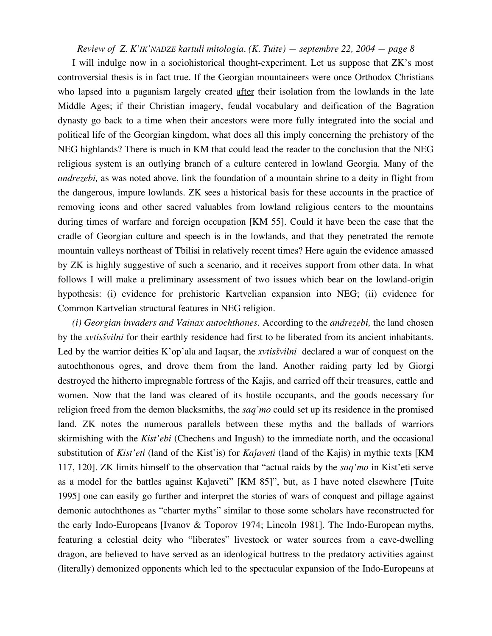*Review of Z. K'IK'NADZE kartuli mitologia. (K. Tuite) — septembre 22, 2004 — page 8*

I will indulge now in a sociohistorical thought-experiment. Let us suppose that ZK's most controversial thesis is in fact true. If the Georgian mountaineers were once Orthodox Christians who lapsed into a paganism largely created after their isolation from the lowlands in the late Middle Ages; if their Christian imagery, feudal vocabulary and deification of the Bagration dynasty go back to a time when their ancestors were more fully integrated into the social and political life of the Georgian kingdom, what does all this imply concerning the prehistory of the NEG highlands? There is much in KM that could lead the reader to the conclusion that the NEG religious system is an outlying branch of a culture centered in lowland Georgia. Many of the *andrezebi,* as was noted above, link the foundation of a mountain shrine to a deity in flight from the dangerous, impure lowlands. ZK sees a historical basis for these accounts in the practice of removing icons and other sacred valuables from lowland religious centers to the mountains during times of warfare and foreign occupation [KM 55]. Could it have been the case that the cradle of Georgian culture and speech is in the lowlands, and that they penetrated the remote mountain valleys northeast of Tbilisi in relatively recent times? Here again the evidence amassed by ZK is highly suggestive of such a scenario, and it receives support from other data. In what follows I will make a preliminary assessment of two issues which bear on the lowland-origin hypothesis: (i) evidence for prehistoric Kartvelian expansion into NEG; (ii) evidence for Common Kartvelian structural features in NEG religion.

*(i) Georgian invaders and Vainax autochthones.* According to the *andrezebi,* the land chosen by the *xvtis£vilni* for their earthly residence had first to be liberated from its ancient inhabitants. Led by the warrior deities K'op'ala and Iaqsar, the *xvtis*<sup>*xilni*</sup> declared a war of conquest on the autochthonous ogres, and drove them from the land. Another raiding party led by Giorgi destroyed the hitherto impregnable fortress of the Kajis, and carried off their treasures, cattle and women. Now that the land was cleared of its hostile occupants, and the goods necessary for religion freed from the demon blacksmiths, the *saq'mo* could set up its residence in the promised land. ZK notes the numerous parallels between these myths and the ballads of warriors skirmishing with the *Kist'ebi* (Chechens and Ingush) to the immediate north, and the occasional substitution of *Kist'eti* (land of the Kist'is) for *Ka∆aveti* (land of the Kajis) in mythic texts [KM 117, 120]. ZK limits himself to the observation that "actual raids by the *saq'mo* in Kist'eti serve as a model for the battles against Kajaveti" [KM 85]", but, as I have noted elsewhere [Tuite 1995] one can easily go further and interpret the stories of wars of conquest and pillage against demonic autochthones as "charter myths" similar to those some scholars have reconstructed for the early Indo-Europeans [Ivanov & Toporov 1974; Lincoln 1981]. The Indo-European myths, featuring a celestial deity who "liberates" livestock or water sources from a cave-dwelling dragon, are believed to have served as an ideological buttress to the predatory activities against (literally) demonized opponents which led to the spectacular expansion of the Indo-Europeans at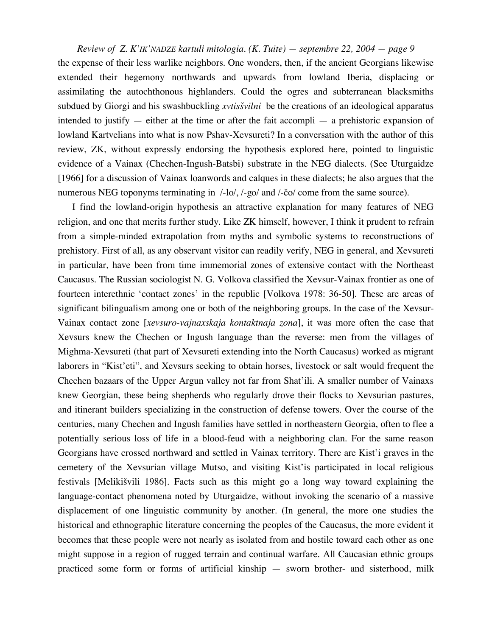*Review of Z. K'IK'NADZE kartuli mitologia. (K. Tuite) — septembre 22, 2004 — page 9* the expense of their less warlike neighbors. One wonders, then, if the ancient Georgians likewise extended their hegemony northwards and upwards from lowland Iberia, displacing or assimilating the autochthonous highlanders. Could the ogres and subterranean blacksmiths subdued by Giorgi and his swashbuckling *xvtisšvilni* be the creations of an ideological apparatus intended to justify — either at the time or after the fait accompli — a prehistoric expansion of lowland Kartvelians into what is now Pshav-Xevsureti? In a conversation with the author of this review, ZK, without expressly endorsing the hypothesis explored here, pointed to linguistic evidence of a Vainax (Chechen-Ingush-Batsbi) substrate in the NEG dialects. (See Uturgaidze [1966] for a discussion of Vainax loanwords and calques in these dialects; he also argues that the numerous NEG toponyms terminating in  $/$ -lo/,  $/$ -go/ and  $/$ -co/ come from the same source).

I find the lowland-origin hypothesis an attractive explanation for many features of NEG religion, and one that merits further study. Like ZK himself, however, I think it prudent to refrain from a simple-minded extrapolation from myths and symbolic systems to reconstructions of prehistory. First of all, as any observant visitor can readily verify, NEG in general, and Xevsureti in particular, have been from time immemorial zones of extensive contact with the Northeast Caucasus. The Russian sociologist N. G. Volkova classified the Xevsur-Vainax frontier as one of fourteen interethnic 'contact zones' in the republic [Volkova 1978: 36-50]. These are areas of significant bilingualism among one or both of the neighboring groups. In the case of the Xevsur-Vainax contact zone [*xevsuro-vajnaxskaja kontaktnaja zona*], it was more often the case that Xevsurs knew the Chechen or Ingush language than the reverse: men from the villages of Mighma-Xevsureti (that part of Xevsureti extending into the North Caucasus) worked as migrant laborers in "Kist'eti", and Xevsurs seeking to obtain horses, livestock or salt would frequent the Chechen bazaars of the Upper Argun valley not far from Shat'ili. A smaller number of Vainaxs knew Georgian, these being shepherds who regularly drove their flocks to Xevsurian pastures, and itinerant builders specializing in the construction of defense towers. Over the course of the centuries, many Chechen and Ingush families have settled in northeastern Georgia, often to flee a potentially serious loss of life in a blood-feud with a neighboring clan. For the same reason Georgians have crossed northward and settled in Vainax territory. There are Kist'i graves in the cemetery of the Xevsurian village Mutso, and visiting Kist'is participated in local religious festivals [Melikišvili 1986]. Facts such as this might go a long way toward explaining the language-contact phenomena noted by Uturgaidze, without invoking the scenario of a massive displacement of one linguistic community by another. (In general, the more one studies the historical and ethnographic literature concerning the peoples of the Caucasus, the more evident it becomes that these people were not nearly as isolated from and hostile toward each other as one might suppose in a region of rugged terrain and continual warfare. All Caucasian ethnic groups practiced some form or forms of artificial kinship — sworn brother- and sisterhood, milk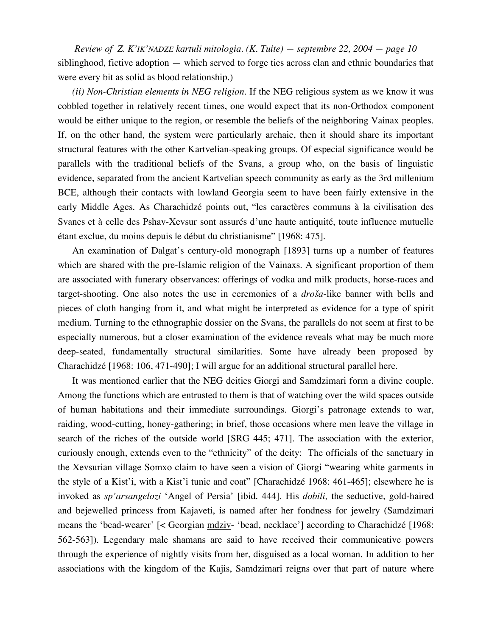*Review of Z. K'IK'NADZE kartuli mitologia. (K. Tuite) — septembre 22, 2004 — page 10* siblinghood, fictive adoption — which served to forge ties across clan and ethnic boundaries that were every bit as solid as blood relationship.)

*(ii) Non-Christian elements in NEG religion.* If the NEG religious system as we know it was cobbled together in relatively recent times, one would expect that its non-Orthodox component would be either unique to the region, or resemble the beliefs of the neighboring Vainax peoples. If, on the other hand, the system were particularly archaic, then it should share its important structural features with the other Kartvelian-speaking groups. Of especial significance would be parallels with the traditional beliefs of the Svans, a group who, on the basis of linguistic evidence, separated from the ancient Kartvelian speech community as early as the 3rd millenium BCE, although their contacts with lowland Georgia seem to have been fairly extensive in the early Middle Ages. As Charachidzé points out, "les caractères communs à la civilisation des Svanes et à celle des Pshav-Xevsur sont assurés d'une haute antiquité, toute influence mutuelle étant exclue, du moins depuis le début du christianisme" [1968: 475].

An examination of Dalgat's century-old monograph [1893] turns up a number of features which are shared with the pre-Islamic religion of the Vainaxs. A significant proportion of them are associated with funerary observances: offerings of vodka and milk products, horse-races and target-shooting. One also notes the use in ceremonies of a *droša*-like banner with bells and pieces of cloth hanging from it, and what might be interpreted as evidence for a type of spirit medium. Turning to the ethnographic dossier on the Svans, the parallels do not seem at first to be especially numerous, but a closer examination of the evidence reveals what may be much more deep-seated, fundamentally structural similarities. Some have already been proposed by Charachidzé [1968: 106, 471-490]; I will argue for an additional structural parallel here.

It was mentioned earlier that the NEG deities Giorgi and Samdzimari form a divine couple. Among the functions which are entrusted to them is that of watching over the wild spaces outside of human habitations and their immediate surroundings. Giorgi's patronage extends to war, raiding, wood-cutting, honey-gathering; in brief, those occasions where men leave the village in search of the riches of the outside world [SRG 445; 471]. The association with the exterior, curiously enough, extends even to the "ethnicity" of the deity: The officials of the sanctuary in the Xevsurian village Somxo claim to have seen a vision of Giorgi "wearing white garments in the style of a Kist'i, with a Kist'i tunic and coat" [Charachidzé 1968: 461-465]; elsewhere he is invoked as *sp'arsangelozi* 'Angel of Persia' [ibid. 444]. His *dobili,* the seductive, gold-haired and bejewelled princess from Kajaveti, is named after her fondness for jewelry (Samdzimari means the 'bead-wearer' [< Georgian modes in 'bead, necklace'] according to Charachidzé [1968: 562-563]). Legendary male shamans are said to have received their communicative powers through the experience of nightly visits from her, disguised as a local woman. In addition to her associations with the kingdom of the Kajis, Samdzimari reigns over that part of nature where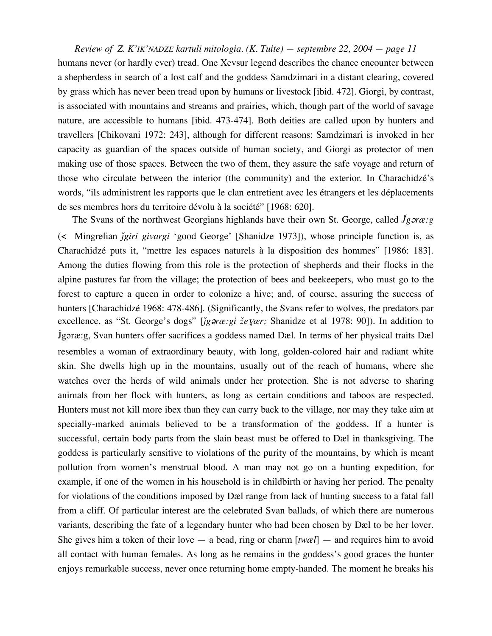*Review of Z. K'IK'NADZE kartuli mitologia. (K. Tuite) — septembre 22, 2004 — page 11* humans never (or hardly ever) tread. One Xevsur legend describes the chance encounter between a shepherdess in search of a lost calf and the goddess Samdzimari in a distant clearing, covered by grass which has never been tread upon by humans or livestock [ibid. 472]. Giorgi, by contrast, is associated with mountains and streams and prairies, which, though part of the world of savage nature, are accessible to humans [ibid. 473-474]. Both deities are called upon by hunters and travellers [Chikovani 1972: 243], although for different reasons: Samdzimari is invoked in her capacity as guardian of the spaces outside of human society, and Giorgi as protector of men making use of those spaces. Between the two of them, they assure the safe voyage and return of those who circulate between the interior (the community) and the exterior. In Charachidzé's words, "ils administrent les rapports que le clan entretient avec les étrangers et les déplacements de ses membres hors du territoire dévolu à la société" [1968: 620].

The Svans of the northwest Georgians highlands have their own St. George, called  $\check{J}g\hat{\sigma}r\alpha$ :g (< Mingrelian *∆giri givargi* 'good George' [Shanidze 1973]), whose principle function is, as Charachidzé puts it, "mettre les espaces naturels à la disposition des hommes" [1986: 183]. Among the duties flowing from this role is the protection of shepherds and their flocks in the alpine pastures far from the village; the protection of bees and beekeepers, who must go to the forest to capture a queen in order to colonize a hive; and, of course, assuring the success of hunters [Charachidzé 1968: 478-486]. (Significantly, the Svans refer to wolves, the predators par excellence, as "St. George's dogs" [*[g*∂*ræ:gi ževær;* Shanidze et al 1978: 90]). In addition to ˚g´ræ:g, Svan hunters offer sacrifices a goddess named Dæl. In terms of her physical traits Dæl resembles a woman of extraordinary beauty, with long, golden-colored hair and radiant white skin. She dwells high up in the mountains, usually out of the reach of humans, where she watches over the herds of wild animals under her protection. She is not adverse to sharing animals from her flock with hunters, as long as certain conditions and taboos are respected. Hunters must not kill more ibex than they can carry back to the village, nor may they take aim at specially-marked animals believed to be a transformation of the goddess. If a hunter is successful, certain body parts from the slain beast must be offered to Dæl in thanksgiving. The goddess is particularly sensitive to violations of the purity of the mountains, by which is meant pollution from women's menstrual blood. A man may not go on a hunting expedition, for example, if one of the women in his household is in childbirth or having her period. The penalty for violations of the conditions imposed by Dæl range from lack of hunting success to a fatal fall from a cliff. Of particular interest are the celebrated Svan ballads, of which there are numerous variants, describing the fate of a legendary hunter who had been chosen by Dæl to be her lover. She gives him a token of their love — a bead, ring or charm [*twæl*] — and requires him to avoid all contact with human females. As long as he remains in the goddess's good graces the hunter enjoys remarkable success, never once returning home empty-handed. The moment he breaks his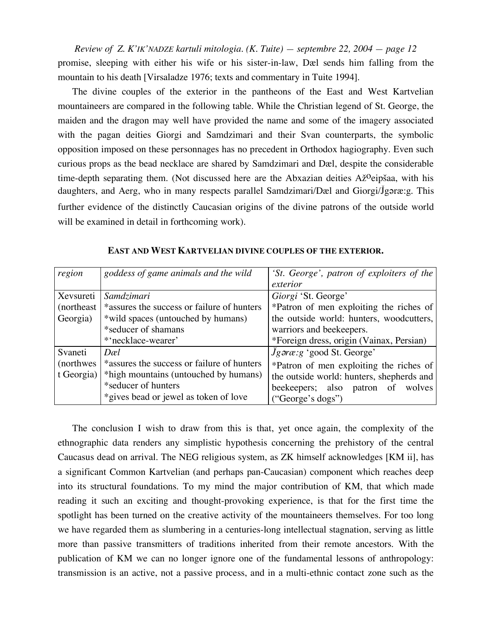*Review of Z. K'IK'NADZE kartuli mitologia. (K. Tuite) — septembre 22, 2004 — page 12* promise, sleeping with either his wife or his sister-in-law, Dæl sends him falling from the mountain to his death [Virsaladze 1976; texts and commentary in Tuite 1994].

The divine couples of the exterior in the pantheons of the East and West Kartvelian mountaineers are compared in the following table. While the Christian legend of St. George, the maiden and the dragon may well have provided the name and some of the imagery associated with the pagan deities Giorgi and Samdzimari and their Svan counterparts, the symbolic opposition imposed on these personnages has no precedent in Orthodox hagiography. Even such curious props as the bead necklace are shared by Samdzimari and Dæl, despite the considerable time-depth separating them. (Not discussed here are the Abxazian deities  $A\check{z}^{\text{O}}$ eipšaa, with his daughters, and Aerg, who in many respects parallel Samdzimari/Dæl and Giorgi/Jgoræ:g. This further evidence of the distinctly Caucasian origins of the divine patrons of the outside world will be examined in detail in forthcoming work).

| region      | goddess of game animals and the wild       | 'St. George', patron of exploiters of the     |
|-------------|--------------------------------------------|-----------------------------------------------|
|             |                                            | exterior                                      |
| Xevsureti   | Samdzimari                                 | Giorgi 'St. George'                           |
| (northeast) | *assures the success or failure of hunters | *Patron of men exploiting the riches of       |
| Georgia)    | *wild spaces (untouched by humans)         | the outside world: hunters, woodcutters,      |
|             | *seducer of shamans                        | warriors and beekeepers.                      |
|             | *'necklace-wearer'                         | *Foreign dress, origin (Vainax, Persian)      |
| Svaneti     | Dæl                                        | $\check{J}$ gər $\alpha$ :g 'good St. George' |
| (northwes)  | *assures the success or failure of hunters | *Patron of men exploiting the riches of       |
| t Georgia)  | *high mountains (untouched by humans)      | the outside world: hunters, shepherds and     |
|             | *seducer of hunters                        | beekeepers; also patron of wolves             |
|             | *gives bead or jewel as token of love      | ("George's dogs")                             |

**EAST AND WEST KARTVELIAN DIVINE COUPLES OF THE EXTERIOR.**

The conclusion I wish to draw from this is that, yet once again, the complexity of the ethnographic data renders any simplistic hypothesis concerning the prehistory of the central Caucasus dead on arrival. The NEG religious system, as ZK himself acknowledges [KM ii], has a significant Common Kartvelian (and perhaps pan-Caucasian) component which reaches deep into its structural foundations. To my mind the major contribution of KM, that which made reading it such an exciting and thought-provoking experience, is that for the first time the spotlight has been turned on the creative activity of the mountaineers themselves. For too long we have regarded them as slumbering in a centuries-long intellectual stagnation, serving as little more than passive transmitters of traditions inherited from their remote ancestors. With the publication of KM we can no longer ignore one of the fundamental lessons of anthropology: transmission is an active, not a passive process, and in a multi-ethnic contact zone such as the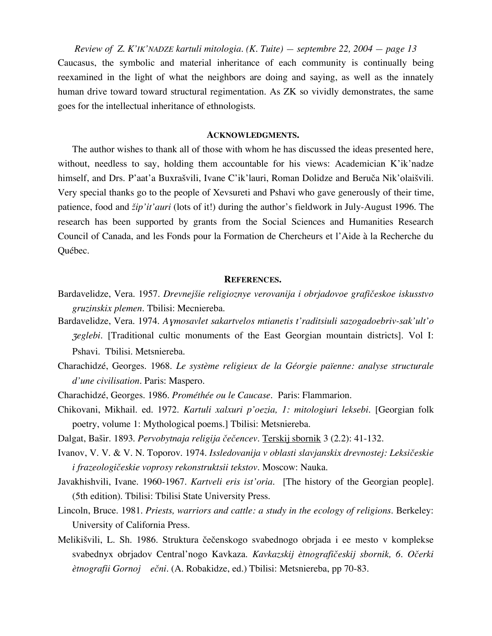*Review of Z. K'IK'NADZE kartuli mitologia. (K. Tuite) — septembre 22, 2004 — page 13* Caucasus, the symbolic and material inheritance of each community is continually being reexamined in the light of what the neighbors are doing and saying, as well as the innately human drive toward toward structural regimentation. As ZK so vividly demonstrates, the same goes for the intellectual inheritance of ethnologists.

## **ACKNOWLEDGMENTS.**

The author wishes to thank all of those with whom he has discussed the ideas presented here, without, needless to say, holding them accountable for his views: Academician K'ik'nadze himself, and Drs. P'aat'a Buxrašvili, Ivane C'ik'lauri, Roman Dolidze and Beruča Nik'olaišvili. Very special thanks go to the people of Xevsureti and Pshavi who gave generously of their time, patience, food and *¢ip'it'auri* (lots of it!) during the author's fieldwork in July-August 1996. The research has been supported by grants from the Social Sciences and Humanities Research Council of Canada, and les Fonds pour la Formation de Chercheurs et l'Aide à la Recherche du Québec.

## **REFERENCES.**

- Bardavelidze, Vera. 1957. *Drevnej£ie religioznye verovanija i obrjadovoe grafi™eskoe iskusstvo gruzinskix plemen.* Tbilisi: Mecniereba.
- Bardavelidze, Vera. 1974. *A*ƒ*mosavlet sakartvelos mtianetis t'raditsiuli sazogadoebriv-sak'ult'o*  zeglebi. [Traditional cultic monuments of the East Georgian mountain districts]. Vol I: Pshavi. Tbilisi. Metsniereba.
- Charachidzé, Georges. 1968. *Le système religieux de la Géorgie païenne: analyse structurale d'une civilisation.* Paris: Maspero.
- Charachidzé, Georges. 1986. *Prométhée ou le Caucase.* Paris: Flammarion.
- Chikovani, Mikhail. ed. 1972. *Kartuli xalxuri p'oezia, 1: mitologiuri leksebi.* [Georgian folk poetry, volume 1: Mythological poems.] Tbilisi: Metsniereba.
- Dalgat, Ba£ir. 1893. *Pervobytnaja religija ™e™encev.* Terskij sbornik 3 (2.2): 41-132.
- Ivanov, V. V. & V. N. Toporov. 1974. *Issledovanija v oblasti slavjanskix drevnostej: Leksi™eskie i frazeologi™eskie voprosy rekonstruktsii tekstov.* Moscow: Nauka.
- Javakhishvili, Ivane. 1960-1967. *Kartveli eris ist'oria.* [The history of the Georgian people]. (5th edition). Tbilisi: Tbilisi State University Press.
- Lincoln, Bruce. 1981. *Priests, warriors and cattle: a study in the ecology of religions.* Berkeley: University of California Press.
- Melikišvili, L. Sh. 1986. Struktura čečenskogo svabednogo obrjada i ee mesto v komplekse svabednyx obrjadov Central'nogo Kavkaza. *Kavkazskij ètnografi™eskij sbornik, 6. O™erki ètnografii Gornoj e™ni.* (A. Robakidze, ed.) Tbilisi: Metsniereba, pp 70-83.